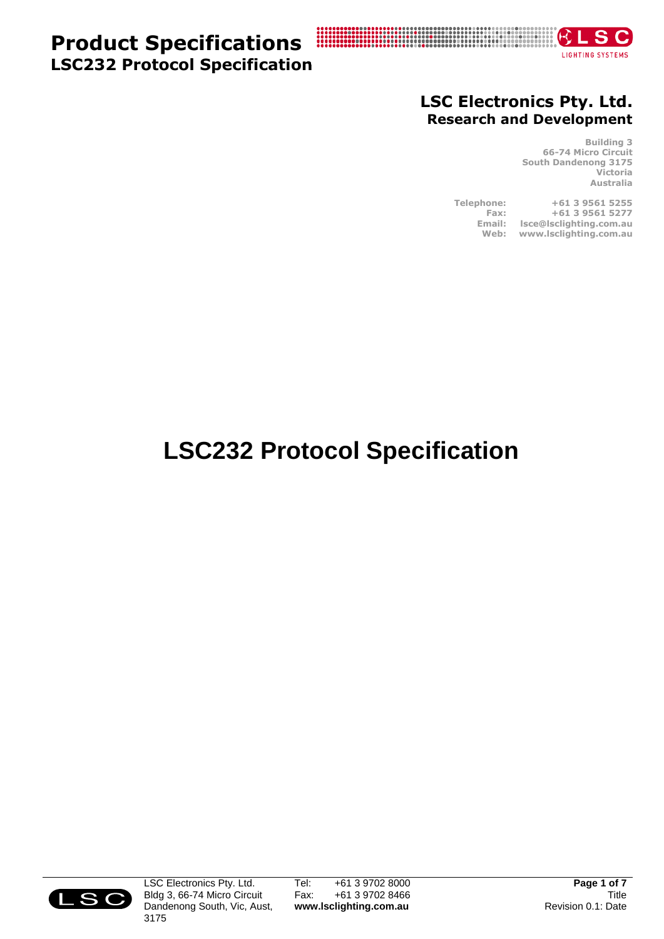## **Product Specifications LSC232 Protocol Specification**



### **LSC Electronics Pty. Ltd. Research and Development**

**Building 3 66-74 Micro Circuit South Dandenong 3175 Victoria Australia**

**Telephone: +61 3 9561 5255 Fax: +61 3 9561 5277 Email: lsce@lsclighting.com.au Web: www.lsclighting.com.au**

# **LSC232 Protocol Specification**



LSC Electronics Pty. Ltd. Bldg 3, 66-74 Micro Circuit Dandenong South, Vic, Aust, 3175

Tel: +61 3 9702 8000<br>Fax: +61 3 9702 8466 +61 3 9702 8466 **www.lsclighting.com.au**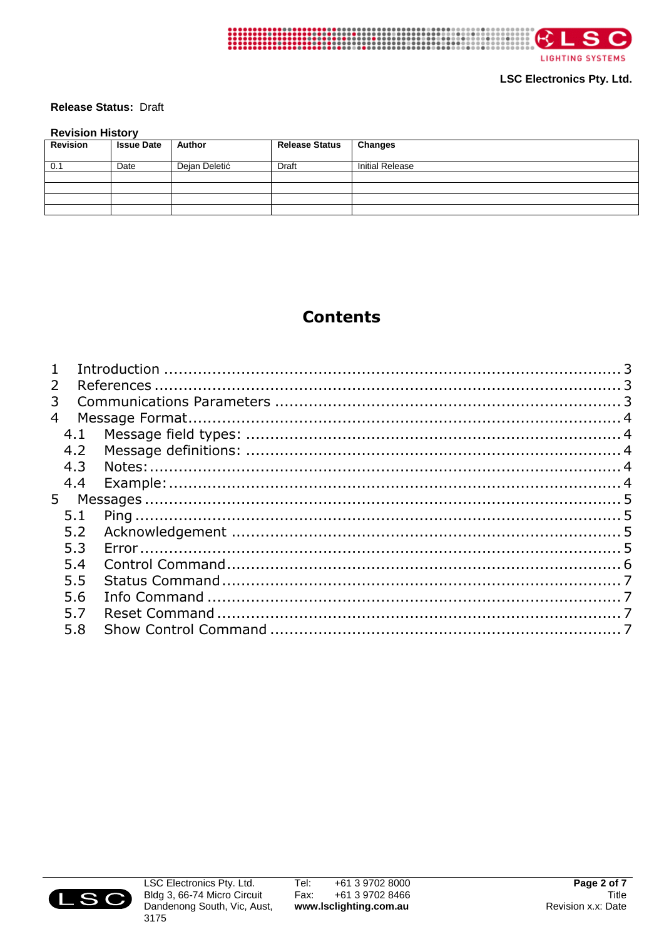

**LIGHTING SYSTEMS** 

**LSC Electronics Pty. Ltd.** 

#### Release Status: Draft

#### **Revision History**

| .        |                   |               |                       |                        |  |  |  |
|----------|-------------------|---------------|-----------------------|------------------------|--|--|--|
| Revision | <b>Issue Date</b> | Author        | <b>Release Status</b> | <b>Changes</b>         |  |  |  |
| 0.1      | Date              | Dejan Deletić | <b>Draft</b>          | <b>Initial Release</b> |  |  |  |
|          |                   |               |                       |                        |  |  |  |
|          |                   |               |                       |                        |  |  |  |
|          |                   |               |                       |                        |  |  |  |
|          |                   |               |                       |                        |  |  |  |

### **Contents**

| $\mathbf{1}$   |     |  |
|----------------|-----|--|
| $\overline{2}$ |     |  |
| 3              |     |  |
| $\overline{4}$ |     |  |
|                | 4.1 |  |
|                | 4.2 |  |
|                | 4.3 |  |
|                | 4.4 |  |
| 5              |     |  |
|                | 5.1 |  |
|                | 5.2 |  |
|                | 5.3 |  |
|                | 5.4 |  |
|                | 5.5 |  |
|                | 5.6 |  |
|                | 5.7 |  |
|                | 5.8 |  |
|                |     |  |

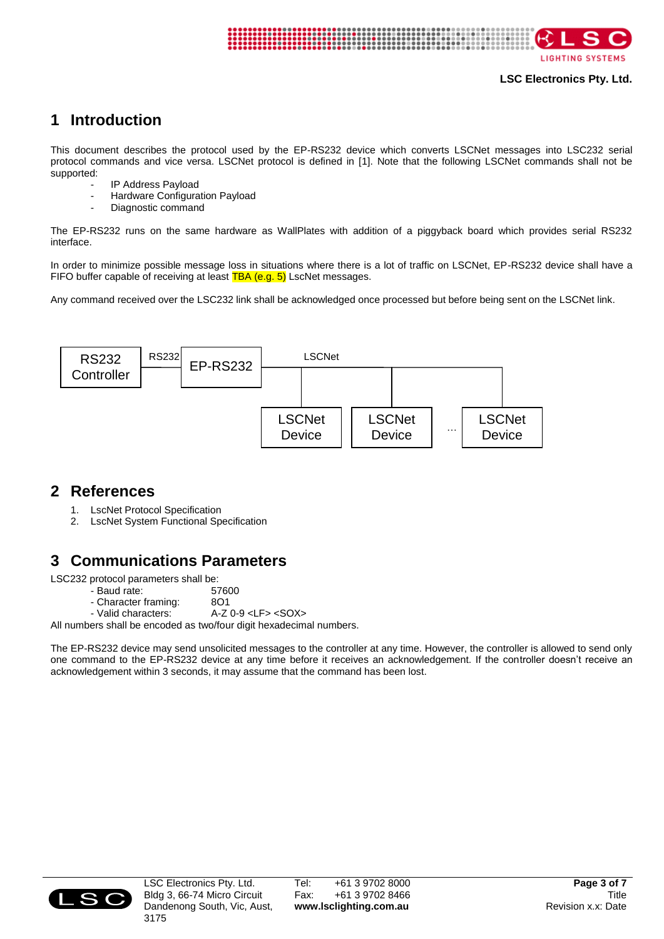

**LIGHTING SYSTEMS** 

#### **LSC Electronics Pty. Ltd.**

### <span id="page-2-0"></span>**1 Introduction**

This document describes the protocol used by the EP-RS232 device which converts LSCNet messages into LSC232 serial protocol commands and vice versa. LSCNet protocol is defined in [1]. Note that the following LSCNet commands shall not be supported:

- IP Address Payload
- Hardware Configuration Payload
- Diagnostic command

The EP-RS232 runs on the same hardware as WallPlates with addition of a piggyback board which provides serial RS232 interface.

In order to minimize possible message loss in situations where there is a lot of traffic on LSCNet, EP-RS232 device shall have a FIFO buffer capable of receiving at least TBA (e.g. 5) LscNet messages.

Any command received over the LSC232 link shall be acknowledged once processed but before being sent on the LSCNet link.



### <span id="page-2-1"></span>**2 References**

- 1. LscNet Protocol Specification
- 2. LscNet System Functional Specification

### <span id="page-2-2"></span>**3 Communications Parameters**

LSC232 protocol parameters shall be:

- Baud rate: 57600
- Character framing: 8O1
- Valid characters: A-Z 0-9 <LF> <SOX>

All numbers shall be encoded as two/four digit hexadecimal numbers.

<span id="page-2-3"></span>The EP-RS232 device may send unsolicited messages to the controller at any time. However, the controller is allowed to send only one command to the EP-RS232 device at any time before it receives an acknowledgement. If the controller doesn't receive an acknowledgement within 3 seconds, it may assume that the command has been lost.

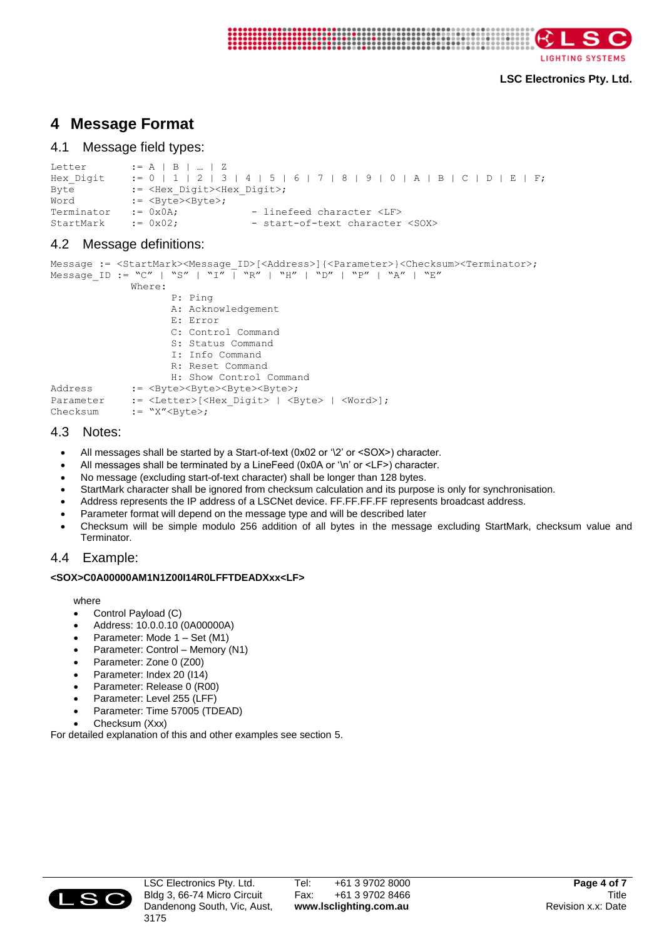

```
LIGHTING SYSTEMS
```
#### **LSC Electronics Pty. Ltd.**

### **4 Message Format**

#### <span id="page-3-0"></span>4.1 Message field types:

```
Letter := A \mid B \mid ... \mid ZHex Digit := 0 | 1 | 2 | 3 | 4 | 5 | 6 | 7 | 8 | 9 | 0 | A | B | C | D | E | F;
Byte := <Hex Digit><Hex Digit>;
\overline{\text{Word}} := <Byte><Byte>;
Terminator := 0x0A; - linefeed character <LF>
StartMark := 0x02; - start-of-text character <SOX>
```
### <span id="page-3-1"></span>4.2 Message definitions:

```
Message := <StartMark><Message_ID>[<Address>]{<Parameter>}<Checksum><Terminator>;
Message ID := "C" | "S" | "I" | "R" | "H" | "D" | "P" | "A" | "E"
             Where:
                   P: Ping
                   A: Acknowledgement
                   E: Error
                   C: Control Command
                   S: Status Command
                   I: Info Command
                   R: Reset Command
                   H: Show Control Command
Address := <Byte><Byte><Byte><Byte>;
Parameter := <Letter>[<Hex Digit> | <Byte> | <Word>];
Checksum := "X"<Byte>;
```
### <span id="page-3-2"></span>4.3 Notes:

- All messages shall be started by a Start-of-text (0x02 or '\2' or <SOX>) character.
- All messages shall be terminated by a LineFeed (0x0A or '\n' or <LF>) character.
- No message (excluding start-of-text character) shall be longer than 128 bytes.
- StartMark character shall be ignored from checksum calculation and its purpose is only for synchronisation.
- Address represents the IP address of a LSCNet device. FF.FF.FF.FF represents broadcast address.
- Parameter format will depend on the message type and will be described later
- Checksum will be simple modulo 256 addition of all bytes in the message excluding StartMark, checksum value and Terminator.

### <span id="page-3-3"></span>4.4 Example:

#### **<SOX>C0A00000AM1N1Z00I14R0LFFTDEADXxx<LF>**

where

- Control Payload (C)
- Address: 10.0.0.10 (0A00000A)
- Parameter: Mode 1 Set (M1)
- Parameter: Control Memory (N1)
- Parameter: Zone 0 (Z00)
- Parameter: Index 20 (I14)
- Parameter: Release 0 (R00)
- Parameter: Level 255 (LFF)
- Parameter: Time 57005 (TDEAD)
- Checksum (Xxx)

<span id="page-3-4"></span>For detailed explanation of this and other examples see section 5.

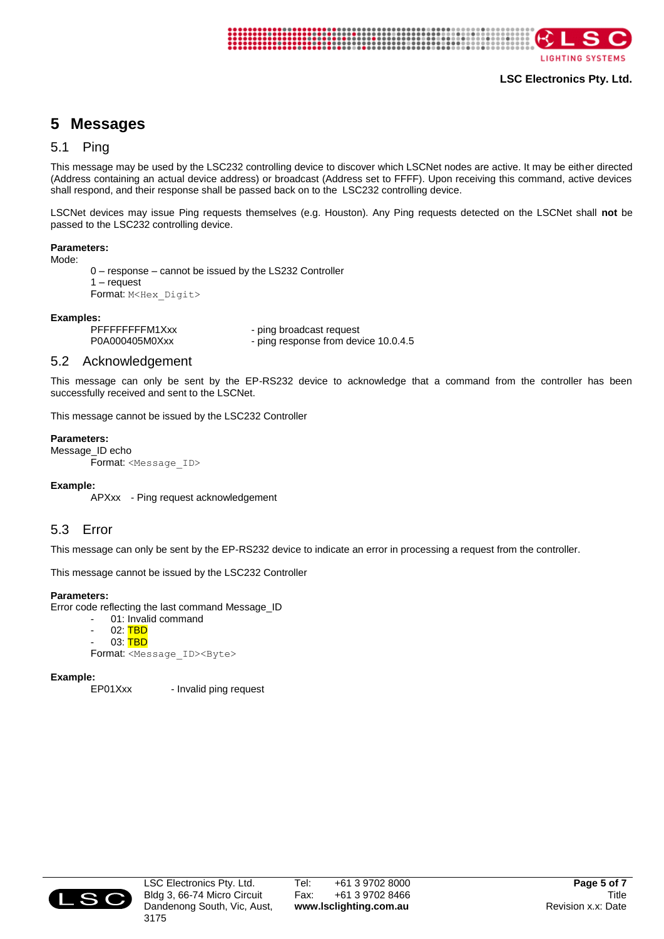

**LSC Electronics Pty. Ltd.**

**LIGHTING SYSTEMS** 

### **5 Messages**

#### <span id="page-4-0"></span>5.1 Ping

This message may be used by the LSC232 controlling device to discover which LSCNet nodes are active. It may be either directed (Address containing an actual device address) or broadcast (Address set to FFFF). Upon receiving this command, active devices shall respond, and their response shall be passed back on to the LSC232 controlling device.

LSCNet devices may issue Ping requests themselves (e.g. Houston). Any Ping requests detected on the LSCNet shall **not** be passed to the LSC232 controlling device.

#### **Parameters:**

Mode:

```
0 – response – cannot be issued by the LS232 Controller
1 – request
Format: M<Hex_Digit>
```
**Examples:** - ping broadcast request P0A000405M0Xxx - ping response from device 10.0.4.5

#### <span id="page-4-1"></span>5.2 Acknowledgement

This message can only be sent by the EP-RS232 device to acknowledge that a command from the controller has been successfully received and sent to the LSCNet.

This message cannot be issued by the LSC232 Controller

#### **Parameters:**

Message\_ID echo Format: <Message\_ID>

#### **Example:**

APXxx - Ping request acknowledgement

#### <span id="page-4-2"></span>5.3 Error

This message can only be sent by the EP-RS232 device to indicate an error in processing a request from the controller.

This message cannot be issued by the LSC232 Controller

#### **Parameters:**

Error code reflecting the last command Message\_ID

- 01: Invalid command
- $02:$  TBD
- 03: TBD

Format: <Message\_ID><Byte>

# **Example:**

- Invalid ping request

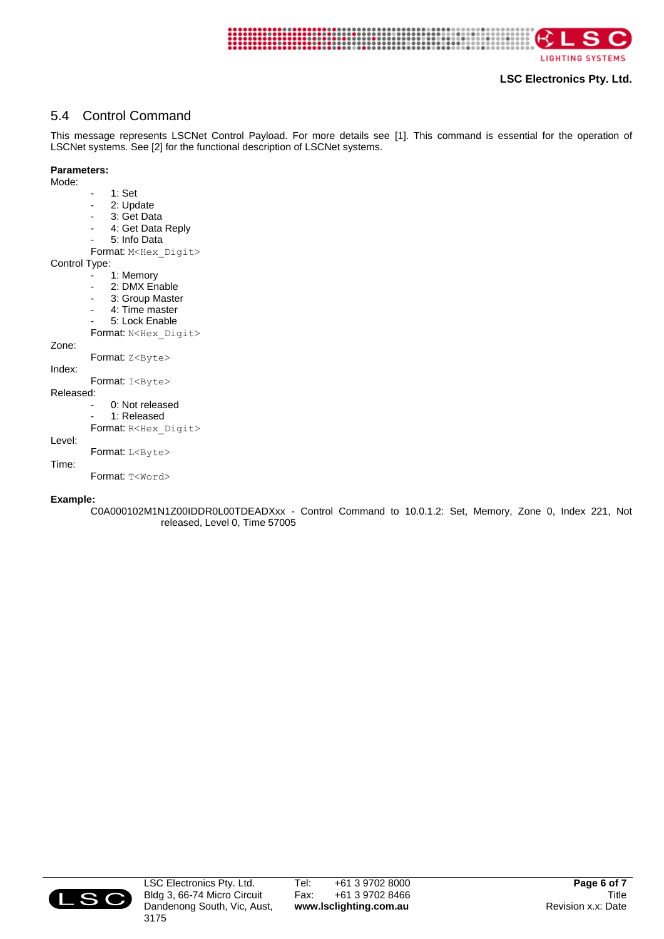

**LIGHTING SYSTEMS** 

#### **LSC Electronics Pty. Ltd.**

### <span id="page-5-0"></span>5.4 Control Command

This message represents LSCNet Control Payload. For more details see [1]. This command is essential for the operation of LSCNet systems. See [2] for the functional description of LSCNet systems.

#### **Parameters:**

Mode:

- 1: Set 2: Update 3: Get Data - 4: Get Data Reply - 5: Info Data Format: M<Hex\_Digit> Control Type: 1: Memory 2: DMX Enable 3: Group Master 4: Time master - 5: Lock Enable Format: N<Hex\_Digit> Zone: Format: Z<Byte> Index: Format: I<Byte> Released: 0: Not released 1: Released Format: R<Hex Digit> Level: Format: L<Byte>

### Time:

Format: T<Word>

#### <span id="page-5-1"></span>**Example:**

C0A000102M1N1Z00IDDR0L00TDEADXxx - Control Command to 10.0.1.2: Set, Memory, Zone 0, Index 221, Not released, Level 0, Time 57005